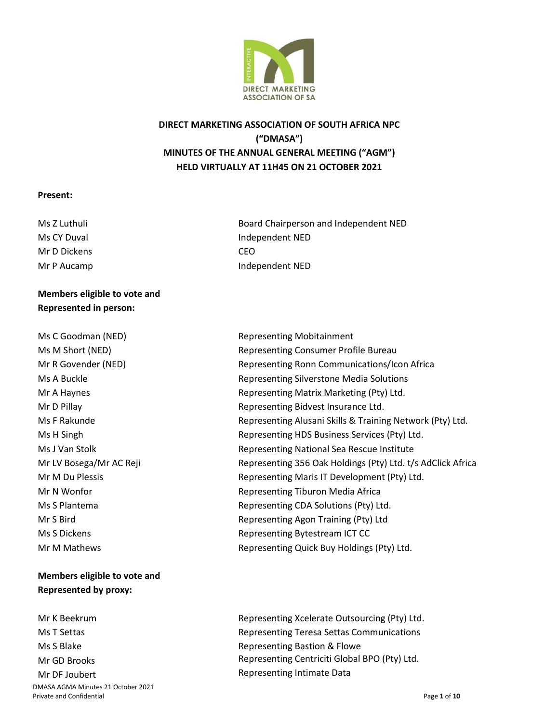

# **DIRECT MARKETING ASSOCIATION OF SOUTH AFRICA NPC ("DMASA") MINUTES OF THE ANNUAL GENERAL MEETING ("AGM") HELD VIRTUALLY AT 11H45 ON 21 OCTOBER 2021**

#### **Present:**

Ms CY Duval Mr D Dickens

## **Members eligible to vote and Represented in person:**

Ms C Goodman (NED) Ms M Short (NED) Mr R Govender (NED) Ms A Buckle Mr A Haynes Mr D Pillay Ms F Rakunde Ms H Singh Ms J Van Stolk Mr LV Bosega/Mr AC Reji Mr M Du Plessis Mr N Wonfor Ms S Plantema Mr S Bird Ms S Dickens Mr M Mathews

# **Members eligible to vote and Represented by proxy:**

DMASA AGMA Minutes 21 October 2021 Private and Confidential Page 1 of 10 Mr K Beekrum Ms T Settas Ms S Blake Mr GD Brooks Mr DF Joubert

Ms Z Luthuli Board Chairperson and Independent NED Independent NED CEO Mr P Aucamp **Independent NED** 

> Representing Mobitainment Representing Consumer Profile Bureau Representing Ronn Communications/Icon Africa Representing Silverstone Media Solutions Representing Matrix Marketing (Pty) Ltd. Representing Bidvest Insurance Ltd. Representing Alusani Skills & Training Network (Pty) Ltd. Representing HDS Business Services (Pty) Ltd. Representing National Sea Rescue Institute Representing 356 Oak Holdings (Pty) Ltd. t/s AdClick Africa Representing Maris IT Development (Pty) Ltd. Representing Tiburon Media Africa Representing CDA Solutions (Pty) Ltd. Representing Agon Training (Pty) Ltd Representing Bytestream ICT CC Representing Quick Buy Holdings (Pty) Ltd.

Representing Xcelerate Outsourcing (Pty) Ltd. Representing Teresa Settas Communications Representing Bastion & Flowe Representing Centriciti Global BPO (Pty) Ltd. Representing Intimate Data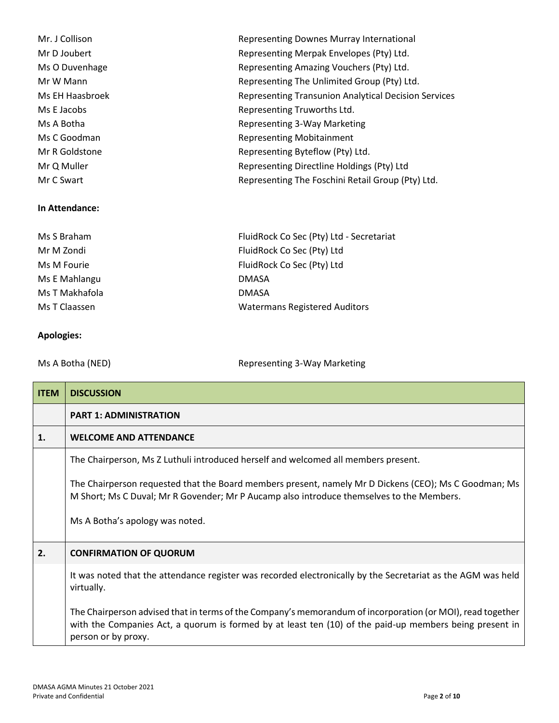| Mr. J Collison  | Representing Downes Murray International                    |
|-----------------|-------------------------------------------------------------|
| Mr D Joubert    | Representing Merpak Envelopes (Pty) Ltd.                    |
| Ms O Duvenhage  | Representing Amazing Vouchers (Pty) Ltd.                    |
| Mr W Mann       | Representing The Unlimited Group (Pty) Ltd.                 |
| Ms EH Haasbroek | <b>Representing Transunion Analytical Decision Services</b> |
| Ms E Jacobs     | Representing Truworths Ltd.                                 |
| Ms A Botha      | Representing 3-Way Marketing                                |
| Ms C Goodman    | <b>Representing Mobitainment</b>                            |
| Mr R Goldstone  | Representing Byteflow (Pty) Ltd.                            |
| Mr Q Muller     | Representing Directline Holdings (Pty) Ltd                  |
| Mr C Swart      | Representing The Foschini Retail Group (Pty) Ltd.           |
|                 |                                                             |

#### **In Attendance:**

| FluidRock Co Sec (Pty) Ltd - Secretariat |
|------------------------------------------|
| FluidRock Co Sec (Pty) Ltd               |
| FluidRock Co Sec (Pty) Ltd               |
| <b>DMASA</b>                             |
| <b>DMASA</b>                             |
| <b>Watermans Registered Auditors</b>     |
|                                          |

## **Apologies:**

Ms A Botha (NED) Ms A Botha (NED) and Mathematic Representing 3-Way Marketing

| <b>ITEM</b> | <b>DISCUSSION</b>                                                                                                                                                                                                                            |
|-------------|----------------------------------------------------------------------------------------------------------------------------------------------------------------------------------------------------------------------------------------------|
|             | <b>PART 1: ADMINISTRATION</b>                                                                                                                                                                                                                |
| 1.          | <b>WELCOME AND ATTENDANCE</b>                                                                                                                                                                                                                |
|             | The Chairperson, Ms Z Luthuli introduced herself and welcomed all members present.                                                                                                                                                           |
|             | The Chairperson requested that the Board members present, namely Mr D Dickens (CEO); Ms C Goodman; Ms<br>M Short; Ms C Duval; Mr R Govender; Mr P Aucamp also introduce themselves to the Members.                                           |
|             | Ms A Botha's apology was noted.                                                                                                                                                                                                              |
| 2.          | <b>CONFIRMATION OF QUORUM</b>                                                                                                                                                                                                                |
|             | It was noted that the attendance register was recorded electronically by the Secretariat as the AGM was held<br>virtually.                                                                                                                   |
|             | The Chairperson advised that in terms of the Company's memorandum of incorporation (or MOI), read together<br>with the Companies Act, a quorum is formed by at least ten (10) of the paid-up members being present in<br>person or by proxy. |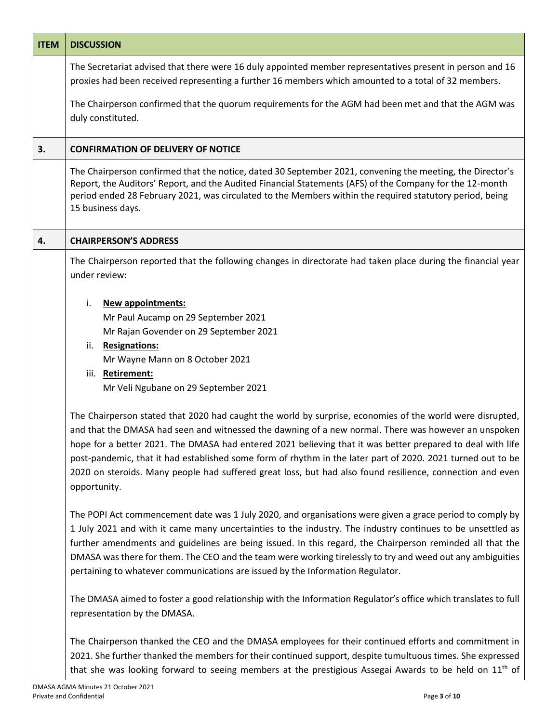| <b>ITEM</b> | <b>DISCUSSION</b>                                                                                                                                                                                                                                                                                                                                                                                                                                                                                                                                                           |
|-------------|-----------------------------------------------------------------------------------------------------------------------------------------------------------------------------------------------------------------------------------------------------------------------------------------------------------------------------------------------------------------------------------------------------------------------------------------------------------------------------------------------------------------------------------------------------------------------------|
|             | The Secretariat advised that there were 16 duly appointed member representatives present in person and 16<br>proxies had been received representing a further 16 members which amounted to a total of 32 members.                                                                                                                                                                                                                                                                                                                                                           |
|             | The Chairperson confirmed that the quorum requirements for the AGM had been met and that the AGM was<br>duly constituted.                                                                                                                                                                                                                                                                                                                                                                                                                                                   |
| 3.          | <b>CONFIRMATION OF DELIVERY OF NOTICE</b>                                                                                                                                                                                                                                                                                                                                                                                                                                                                                                                                   |
|             | The Chairperson confirmed that the notice, dated 30 September 2021, convening the meeting, the Director's<br>Report, the Auditors' Report, and the Audited Financial Statements (AFS) of the Company for the 12-month<br>period ended 28 February 2021, was circulated to the Members within the required statutory period, being<br>15 business days.                                                                                                                                                                                                                      |
| 4.          | <b>CHAIRPERSON'S ADDRESS</b>                                                                                                                                                                                                                                                                                                                                                                                                                                                                                                                                                |
|             | The Chairperson reported that the following changes in directorate had taken place during the financial year<br>under review:                                                                                                                                                                                                                                                                                                                                                                                                                                               |
|             | <b>New appointments:</b><br>i.                                                                                                                                                                                                                                                                                                                                                                                                                                                                                                                                              |
|             | Mr Paul Aucamp on 29 September 2021                                                                                                                                                                                                                                                                                                                                                                                                                                                                                                                                         |
|             | Mr Rajan Govender on 29 September 2021                                                                                                                                                                                                                                                                                                                                                                                                                                                                                                                                      |
|             | <b>Resignations:</b><br>ii.                                                                                                                                                                                                                                                                                                                                                                                                                                                                                                                                                 |
|             | Mr Wayne Mann on 8 October 2021<br>iii. Retirement:                                                                                                                                                                                                                                                                                                                                                                                                                                                                                                                         |
|             | Mr Veli Ngubane on 29 September 2021                                                                                                                                                                                                                                                                                                                                                                                                                                                                                                                                        |
|             | The Chairperson stated that 2020 had caught the world by surprise, economies of the world were disrupted,<br>and that the DMASA had seen and witnessed the dawning of a new normal. There was however an unspoken<br>hope for a better 2021. The DMASA had entered 2021 believing that it was better prepared to deal with life<br>post-pandemic, that it had established some form of rhythm in the later part of 2020. 2021 turned out to be<br>2020 on steroids. Many people had suffered great loss, but had also found resilience, connection and even<br>opportunity. |
|             | The POPI Act commencement date was 1 July 2020, and organisations were given a grace period to comply by<br>1 July 2021 and with it came many uncertainties to the industry. The industry continues to be unsettled as<br>further amendments and guidelines are being issued. In this regard, the Chairperson reminded all that the<br>DMASA was there for them. The CEO and the team were working tirelessly to try and weed out any ambiguities<br>pertaining to whatever communications are issued by the Information Regulator.                                         |
|             | The DMASA aimed to foster a good relationship with the Information Regulator's office which translates to full<br>representation by the DMASA.                                                                                                                                                                                                                                                                                                                                                                                                                              |
|             | The Chairperson thanked the CEO and the DMASA employees for their continued efforts and commitment in<br>2021. She further thanked the members for their continued support, despite tumultuous times. She expressed<br>that she was looking forward to seeing members at the prestigious Assegai Awards to be held on 11 <sup>th</sup> of                                                                                                                                                                                                                                   |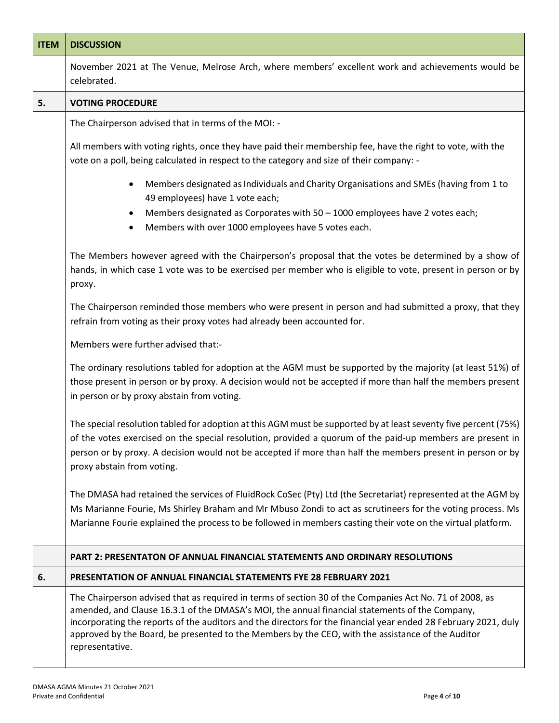| <b>ITEM</b> | <b>DISCUSSION</b>                                                                                                                                                                                                                                                                                                                                                                                                                                    |
|-------------|------------------------------------------------------------------------------------------------------------------------------------------------------------------------------------------------------------------------------------------------------------------------------------------------------------------------------------------------------------------------------------------------------------------------------------------------------|
|             | November 2021 at The Venue, Melrose Arch, where members' excellent work and achievements would be<br>celebrated.                                                                                                                                                                                                                                                                                                                                     |
| 5.          | <b>VOTING PROCEDURE</b>                                                                                                                                                                                                                                                                                                                                                                                                                              |
|             | The Chairperson advised that in terms of the MOI: -                                                                                                                                                                                                                                                                                                                                                                                                  |
|             | All members with voting rights, once they have paid their membership fee, have the right to vote, with the<br>vote on a poll, being calculated in respect to the category and size of their company: -                                                                                                                                                                                                                                               |
|             | Members designated as Individuals and Charity Organisations and SMEs (having from 1 to<br>49 employees) have 1 vote each;<br>Members designated as Corporates with $50 - 1000$ employees have 2 votes each;<br>٠<br>Members with over 1000 employees have 5 votes each.<br>٠                                                                                                                                                                         |
|             | The Members however agreed with the Chairperson's proposal that the votes be determined by a show of<br>hands, in which case 1 vote was to be exercised per member who is eligible to vote, present in person or by<br>proxy.                                                                                                                                                                                                                        |
|             | The Chairperson reminded those members who were present in person and had submitted a proxy, that they<br>refrain from voting as their proxy votes had already been accounted for.                                                                                                                                                                                                                                                                   |
|             | Members were further advised that:-                                                                                                                                                                                                                                                                                                                                                                                                                  |
|             | The ordinary resolutions tabled for adoption at the AGM must be supported by the majority (at least 51%) of<br>those present in person or by proxy. A decision would not be accepted if more than half the members present<br>in person or by proxy abstain from voting.                                                                                                                                                                             |
|             | The special resolution tabled for adoption at this AGM must be supported by at least seventy five percent (75%)<br>of the votes exercised on the special resolution, provided a quorum of the paid-up members are present in<br>person or by proxy. A decision would not be accepted if more than half the members present in person or by<br>proxy abstain from voting.                                                                             |
|             | The DMASA had retained the services of FluidRock CoSec (Pty) Ltd (the Secretariat) represented at the AGM by<br>Ms Marianne Fourie, Ms Shirley Braham and Mr Mbuso Zondi to act as scrutineers for the voting process. Ms<br>Marianne Fourie explained the process to be followed in members casting their vote on the virtual platform.                                                                                                             |
|             | <b>PART 2: PRESENTATON OF ANNUAL FINANCIAL STATEMENTS AND ORDINARY RESOLUTIONS</b>                                                                                                                                                                                                                                                                                                                                                                   |
| 6.          | PRESENTATION OF ANNUAL FINANCIAL STATEMENTS FYE 28 FEBRUARY 2021                                                                                                                                                                                                                                                                                                                                                                                     |
|             | The Chairperson advised that as required in terms of section 30 of the Companies Act No. 71 of 2008, as<br>amended, and Clause 16.3.1 of the DMASA's MOI, the annual financial statements of the Company,<br>incorporating the reports of the auditors and the directors for the financial year ended 28 February 2021, duly<br>approved by the Board, be presented to the Members by the CEO, with the assistance of the Auditor<br>representative. |
|             |                                                                                                                                                                                                                                                                                                                                                                                                                                                      |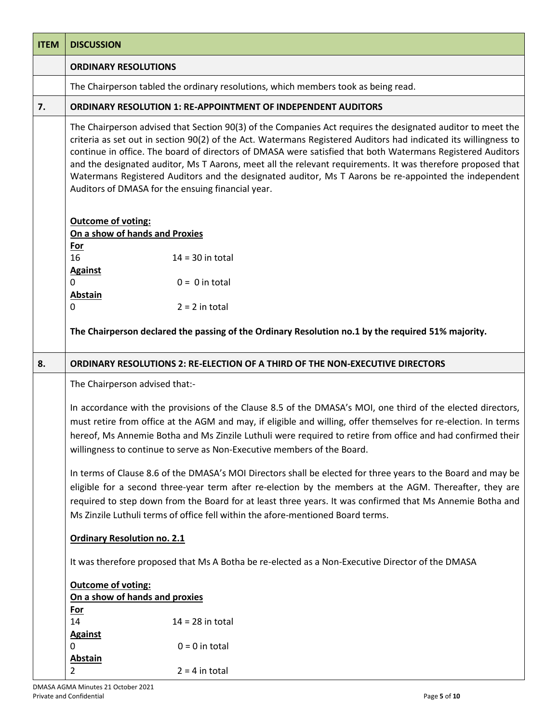| <b>ITEM</b> | <b>DISCUSSION</b>                                                                                                                                                                                                                                                                                                                                                                                                                                                                                                                                                                                                         |
|-------------|---------------------------------------------------------------------------------------------------------------------------------------------------------------------------------------------------------------------------------------------------------------------------------------------------------------------------------------------------------------------------------------------------------------------------------------------------------------------------------------------------------------------------------------------------------------------------------------------------------------------------|
|             | <b>ORDINARY RESOLUTIONS</b>                                                                                                                                                                                                                                                                                                                                                                                                                                                                                                                                                                                               |
|             | The Chairperson tabled the ordinary resolutions, which members took as being read.                                                                                                                                                                                                                                                                                                                                                                                                                                                                                                                                        |
| 7.          | <b>ORDINARY RESOLUTION 1: RE-APPOINTMENT OF INDEPENDENT AUDITORS</b>                                                                                                                                                                                                                                                                                                                                                                                                                                                                                                                                                      |
|             | The Chairperson advised that Section 90(3) of the Companies Act requires the designated auditor to meet the<br>criteria as set out in section 90(2) of the Act. Watermans Registered Auditors had indicated its willingness to<br>continue in office. The board of directors of DMASA were satisfied that both Watermans Registered Auditors<br>and the designated auditor, Ms T Aarons, meet all the relevant requirements. It was therefore proposed that<br>Watermans Registered Auditors and the designated auditor, Ms T Aarons be re-appointed the independent<br>Auditors of DMASA for the ensuing financial year. |
|             | <b>Outcome of voting:</b>                                                                                                                                                                                                                                                                                                                                                                                                                                                                                                                                                                                                 |
|             | On a show of hands and Proxies<br><b>For</b>                                                                                                                                                                                                                                                                                                                                                                                                                                                                                                                                                                              |
|             | 16<br>$14 = 30$ in total                                                                                                                                                                                                                                                                                                                                                                                                                                                                                                                                                                                                  |
|             | <b>Against</b>                                                                                                                                                                                                                                                                                                                                                                                                                                                                                                                                                                                                            |
|             | $\Omega$<br>$0 = 0$ in total<br><b>Abstain</b>                                                                                                                                                                                                                                                                                                                                                                                                                                                                                                                                                                            |
|             | 0<br>$2 = 2$ in total                                                                                                                                                                                                                                                                                                                                                                                                                                                                                                                                                                                                     |
|             | The Chairperson declared the passing of the Ordinary Resolution no.1 by the required 51% majority.                                                                                                                                                                                                                                                                                                                                                                                                                                                                                                                        |
| 8.          | <b>ORDINARY RESOLUTIONS 2: RE-ELECTION OF A THIRD OF THE NON-EXECUTIVE DIRECTORS</b>                                                                                                                                                                                                                                                                                                                                                                                                                                                                                                                                      |
|             | The Chairperson advised that:-                                                                                                                                                                                                                                                                                                                                                                                                                                                                                                                                                                                            |
|             | In accordance with the provisions of the Clause 8.5 of the DMASA's MOI, one third of the elected directors,<br>must retire from office at the AGM and may, if eligible and willing, offer themselves for re-election. In terms<br>hereof, Ms Annemie Botha and Ms Zinzile Luthuli were required to retire from office and had confirmed their<br>willingness to continue to serve as Non-Executive members of the Board.                                                                                                                                                                                                  |
|             | In terms of Clause 8.6 of the DMASA's MOI Directors shall be elected for three years to the Board and may be<br>eligible for a second three-year term after re-election by the members at the AGM. Thereafter, they are<br>required to step down from the Board for at least three years. It was confirmed that Ms Annemie Botha and<br>Ms Zinzile Luthuli terms of office fell within the afore-mentioned Board terms.                                                                                                                                                                                                   |
|             | <b>Ordinary Resolution no. 2.1</b>                                                                                                                                                                                                                                                                                                                                                                                                                                                                                                                                                                                        |
|             | It was therefore proposed that Ms A Botha be re-elected as a Non-Executive Director of the DMASA                                                                                                                                                                                                                                                                                                                                                                                                                                                                                                                          |
|             | <b>Outcome of voting:</b>                                                                                                                                                                                                                                                                                                                                                                                                                                                                                                                                                                                                 |
|             | On a show of hands and proxies                                                                                                                                                                                                                                                                                                                                                                                                                                                                                                                                                                                            |
|             | <u>For</u><br>14<br>$14 = 28$ in total                                                                                                                                                                                                                                                                                                                                                                                                                                                                                                                                                                                    |
|             | <b>Against</b>                                                                                                                                                                                                                                                                                                                                                                                                                                                                                                                                                                                                            |
|             | $0 = 0$ in total<br>0                                                                                                                                                                                                                                                                                                                                                                                                                                                                                                                                                                                                     |
|             | <b>Abstain</b>                                                                                                                                                                                                                                                                                                                                                                                                                                                                                                                                                                                                            |
|             | $2 = 4$ in total<br>2                                                                                                                                                                                                                                                                                                                                                                                                                                                                                                                                                                                                     |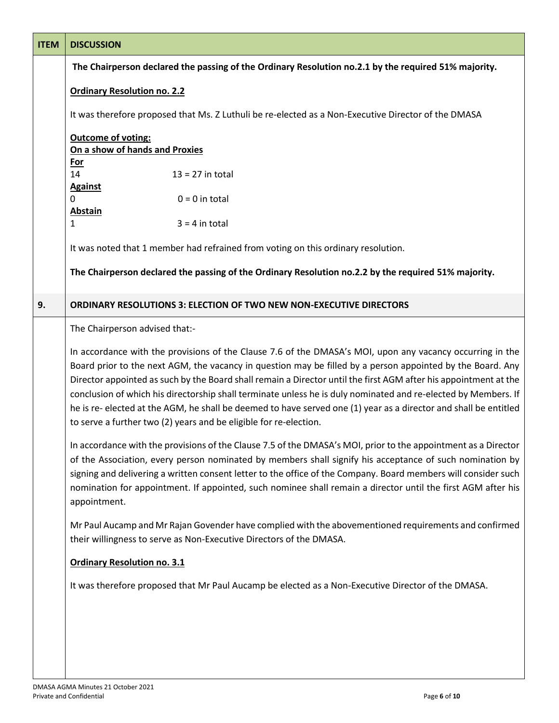| <b>ITEM</b> | <b>DISCUSSION</b>                                                                                                                                                                                                                                                                                                                                                                                                                                                                                                                                                                                                                                      |
|-------------|--------------------------------------------------------------------------------------------------------------------------------------------------------------------------------------------------------------------------------------------------------------------------------------------------------------------------------------------------------------------------------------------------------------------------------------------------------------------------------------------------------------------------------------------------------------------------------------------------------------------------------------------------------|
|             | The Chairperson declared the passing of the Ordinary Resolution no.2.1 by the required 51% majority.                                                                                                                                                                                                                                                                                                                                                                                                                                                                                                                                                   |
|             | <b>Ordinary Resolution no. 2.2</b>                                                                                                                                                                                                                                                                                                                                                                                                                                                                                                                                                                                                                     |
|             | It was therefore proposed that Ms. Z Luthuli be re-elected as a Non-Executive Director of the DMASA                                                                                                                                                                                                                                                                                                                                                                                                                                                                                                                                                    |
|             | <b>Outcome of voting:</b><br>On a show of hands and Proxies                                                                                                                                                                                                                                                                                                                                                                                                                                                                                                                                                                                            |
|             | <b>For</b>                                                                                                                                                                                                                                                                                                                                                                                                                                                                                                                                                                                                                                             |
|             | 14<br>$13 = 27$ in total                                                                                                                                                                                                                                                                                                                                                                                                                                                                                                                                                                                                                               |
|             | <b>Against</b>                                                                                                                                                                                                                                                                                                                                                                                                                                                                                                                                                                                                                                         |
|             | $0 = 0$ in total<br>0                                                                                                                                                                                                                                                                                                                                                                                                                                                                                                                                                                                                                                  |
|             | <b>Abstain</b>                                                                                                                                                                                                                                                                                                                                                                                                                                                                                                                                                                                                                                         |
|             | $\mathbf{1}$<br>$3 = 4$ in total                                                                                                                                                                                                                                                                                                                                                                                                                                                                                                                                                                                                                       |
|             | It was noted that 1 member had refrained from voting on this ordinary resolution.                                                                                                                                                                                                                                                                                                                                                                                                                                                                                                                                                                      |
|             | The Chairperson declared the passing of the Ordinary Resolution no.2.2 by the required 51% majority.                                                                                                                                                                                                                                                                                                                                                                                                                                                                                                                                                   |
| 9.          | <b>ORDINARY RESOLUTIONS 3: ELECTION OF TWO NEW NON-EXECUTIVE DIRECTORS</b>                                                                                                                                                                                                                                                                                                                                                                                                                                                                                                                                                                             |
|             | The Chairperson advised that:-                                                                                                                                                                                                                                                                                                                                                                                                                                                                                                                                                                                                                         |
|             | In accordance with the provisions of the Clause 7.6 of the DMASA's MOI, upon any vacancy occurring in the<br>Board prior to the next AGM, the vacancy in question may be filled by a person appointed by the Board. Any<br>Director appointed as such by the Board shall remain a Director until the first AGM after his appointment at the<br>conclusion of which his directorship shall terminate unless he is duly nominated and re-elected by Members. If<br>he is re- elected at the AGM, he shall be deemed to have served one (1) year as a director and shall be entitled<br>to serve a further two (2) years and be eligible for re-election. |
|             | In accordance with the provisions of the Clause 7.5 of the DMASA's MOI, prior to the appointment as a Director<br>of the Association, every person nominated by members shall signify his acceptance of such nomination by<br>signing and delivering a written consent letter to the office of the Company. Board members will consider such<br>nomination for appointment. If appointed, such nominee shall remain a director until the first AGM after his<br>appointment.                                                                                                                                                                           |
|             | Mr Paul Aucamp and Mr Rajan Govender have complied with the abovementioned requirements and confirmed<br>their willingness to serve as Non-Executive Directors of the DMASA.                                                                                                                                                                                                                                                                                                                                                                                                                                                                           |
|             | <b>Ordinary Resolution no. 3.1</b>                                                                                                                                                                                                                                                                                                                                                                                                                                                                                                                                                                                                                     |
|             | It was therefore proposed that Mr Paul Aucamp be elected as a Non-Executive Director of the DMASA.                                                                                                                                                                                                                                                                                                                                                                                                                                                                                                                                                     |
|             |                                                                                                                                                                                                                                                                                                                                                                                                                                                                                                                                                                                                                                                        |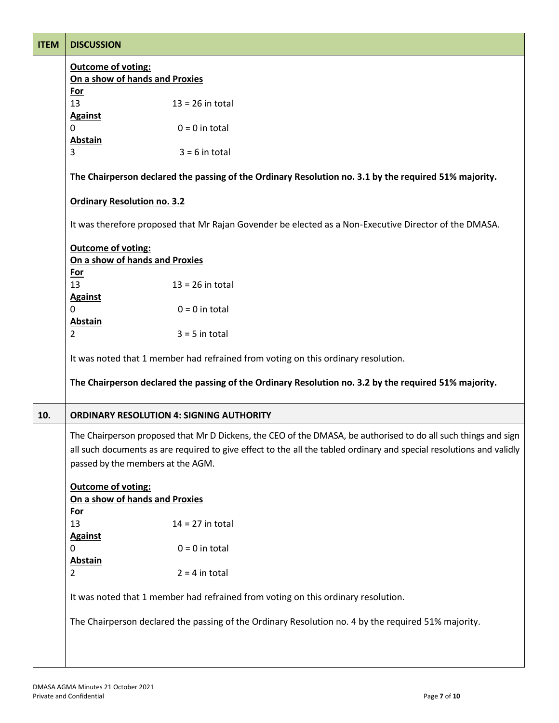| <b>ITEM</b> | <b>DISCUSSION</b>                                                                                                                                                                                                                                                           |
|-------------|-----------------------------------------------------------------------------------------------------------------------------------------------------------------------------------------------------------------------------------------------------------------------------|
|             | <b>Outcome of voting:</b>                                                                                                                                                                                                                                                   |
|             | On a show of hands and Proxies                                                                                                                                                                                                                                              |
|             | <b>For</b>                                                                                                                                                                                                                                                                  |
|             | 13<br>$13 = 26$ in total                                                                                                                                                                                                                                                    |
|             | <b>Against</b>                                                                                                                                                                                                                                                              |
|             | $0 = 0$ in total<br>$\Omega$                                                                                                                                                                                                                                                |
|             | <b>Abstain</b>                                                                                                                                                                                                                                                              |
|             | 3<br>$3 = 6$ in total                                                                                                                                                                                                                                                       |
|             | The Chairperson declared the passing of the Ordinary Resolution no. 3.1 by the required 51% majority.                                                                                                                                                                       |
|             | <b>Ordinary Resolution no. 3.2</b>                                                                                                                                                                                                                                          |
|             | It was therefore proposed that Mr Rajan Govender be elected as a Non-Executive Director of the DMASA.                                                                                                                                                                       |
|             | Outcome of voting:                                                                                                                                                                                                                                                          |
|             | On a show of hands and Proxies                                                                                                                                                                                                                                              |
|             | <b>For</b>                                                                                                                                                                                                                                                                  |
|             | 13<br>$13 = 26$ in total                                                                                                                                                                                                                                                    |
|             | <b>Against</b>                                                                                                                                                                                                                                                              |
|             | $0 = 0$ in total<br>$\Omega$                                                                                                                                                                                                                                                |
|             | <b>Abstain</b><br>$\overline{2}$<br>$3 = 5$ in total                                                                                                                                                                                                                        |
|             | It was noted that 1 member had refrained from voting on this ordinary resolution.                                                                                                                                                                                           |
|             | The Chairperson declared the passing of the Ordinary Resolution no. 3.2 by the required 51% majority.                                                                                                                                                                       |
| 10.         | <b>ORDINARY RESOLUTION 4: SIGNING AUTHORITY</b>                                                                                                                                                                                                                             |
|             | The Chairperson proposed that Mr D Dickens, the CEO of the DMASA, be authorised to do all such things and sign<br>all such documents as are required to give effect to the all the tabled ordinary and special resolutions and validly<br>passed by the members at the AGM. |
|             | <b>Outcome of voting:</b><br>On a show of hands and Proxies                                                                                                                                                                                                                 |
|             | <u>For</u>                                                                                                                                                                                                                                                                  |
|             | 13<br>$14 = 27$ in total                                                                                                                                                                                                                                                    |
|             | <b>Against</b>                                                                                                                                                                                                                                                              |
|             | $0 = 0$ in total<br>0                                                                                                                                                                                                                                                       |
|             | <b>Abstain</b>                                                                                                                                                                                                                                                              |
|             | $2 = 4$ in total<br>$\overline{2}$                                                                                                                                                                                                                                          |
|             | It was noted that 1 member had refrained from voting on this ordinary resolution.                                                                                                                                                                                           |
|             | The Chairperson declared the passing of the Ordinary Resolution no. 4 by the required 51% majority.                                                                                                                                                                         |
|             |                                                                                                                                                                                                                                                                             |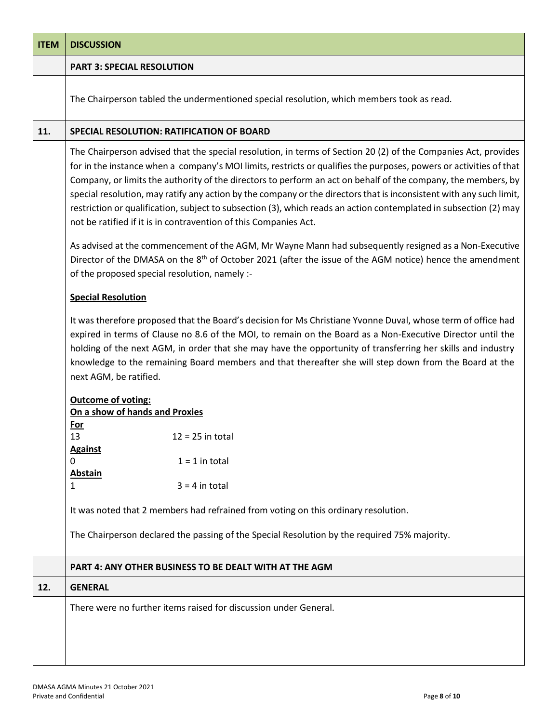| <b>ITEM</b> | <b>DISCUSSION</b>                                                                                                                                                                                                                                                                                                                                                                                                                                                                                                                                                                                                                                                     |
|-------------|-----------------------------------------------------------------------------------------------------------------------------------------------------------------------------------------------------------------------------------------------------------------------------------------------------------------------------------------------------------------------------------------------------------------------------------------------------------------------------------------------------------------------------------------------------------------------------------------------------------------------------------------------------------------------|
|             | <b>PART 3: SPECIAL RESOLUTION</b>                                                                                                                                                                                                                                                                                                                                                                                                                                                                                                                                                                                                                                     |
|             | The Chairperson tabled the undermentioned special resolution, which members took as read.                                                                                                                                                                                                                                                                                                                                                                                                                                                                                                                                                                             |
| 11.         | SPECIAL RESOLUTION: RATIFICATION OF BOARD                                                                                                                                                                                                                                                                                                                                                                                                                                                                                                                                                                                                                             |
|             | The Chairperson advised that the special resolution, in terms of Section 20 (2) of the Companies Act, provides<br>for in the instance when a company's MOI limits, restricts or qualifies the purposes, powers or activities of that<br>Company, or limits the authority of the directors to perform an act on behalf of the company, the members, by<br>special resolution, may ratify any action by the company or the directors that is inconsistent with any such limit,<br>restriction or qualification, subject to subsection (3), which reads an action contemplated in subsection (2) may<br>not be ratified if it is in contravention of this Companies Act. |
|             | As advised at the commencement of the AGM, Mr Wayne Mann had subsequently resigned as a Non-Executive<br>Director of the DMASA on the 8 <sup>th</sup> of October 2021 (after the issue of the AGM notice) hence the amendment<br>of the proposed special resolution, namely :-                                                                                                                                                                                                                                                                                                                                                                                        |
|             | <b>Special Resolution</b>                                                                                                                                                                                                                                                                                                                                                                                                                                                                                                                                                                                                                                             |
|             | It was therefore proposed that the Board's decision for Ms Christiane Yvonne Duval, whose term of office had<br>expired in terms of Clause no 8.6 of the MOI, to remain on the Board as a Non-Executive Director until the<br>holding of the next AGM, in order that she may have the opportunity of transferring her skills and industry<br>knowledge to the remaining Board members and that thereafter she will step down from the Board at the<br>next AGM, be ratified.                                                                                                                                                                                          |
|             | <b>Outcome of voting:</b>                                                                                                                                                                                                                                                                                                                                                                                                                                                                                                                                                                                                                                             |
|             | On a show of hands and Proxies<br>For                                                                                                                                                                                                                                                                                                                                                                                                                                                                                                                                                                                                                                 |
|             | 13<br>$12 = 25$ in total<br><b>Against</b>                                                                                                                                                                                                                                                                                                                                                                                                                                                                                                                                                                                                                            |
|             | $1 = 1$ in total<br>0                                                                                                                                                                                                                                                                                                                                                                                                                                                                                                                                                                                                                                                 |
|             | <b>Abstain</b><br>$3 = 4$ in total<br>1                                                                                                                                                                                                                                                                                                                                                                                                                                                                                                                                                                                                                               |
|             | It was noted that 2 members had refrained from voting on this ordinary resolution.                                                                                                                                                                                                                                                                                                                                                                                                                                                                                                                                                                                    |
|             | The Chairperson declared the passing of the Special Resolution by the required 75% majority.                                                                                                                                                                                                                                                                                                                                                                                                                                                                                                                                                                          |
|             | <b>PART 4: ANY OTHER BUSINESS TO BE DEALT WITH AT THE AGM</b>                                                                                                                                                                                                                                                                                                                                                                                                                                                                                                                                                                                                         |
| 12.         | <b>GENERAL</b>                                                                                                                                                                                                                                                                                                                                                                                                                                                                                                                                                                                                                                                        |
|             | There were no further items raised for discussion under General.                                                                                                                                                                                                                                                                                                                                                                                                                                                                                                                                                                                                      |
|             |                                                                                                                                                                                                                                                                                                                                                                                                                                                                                                                                                                                                                                                                       |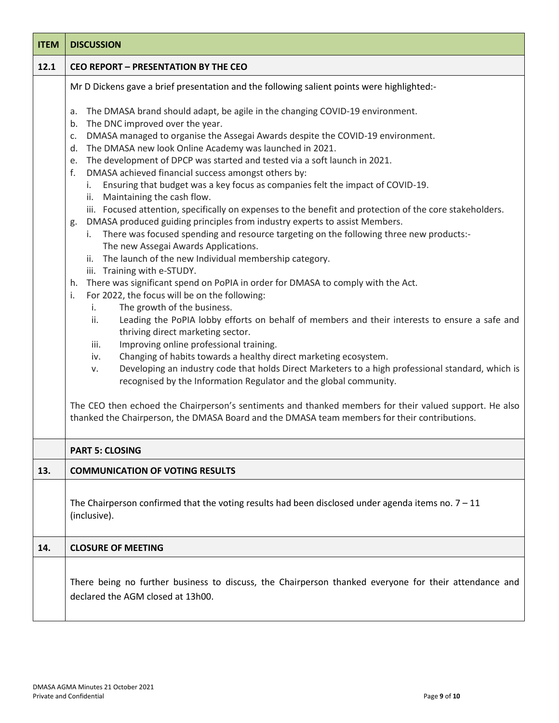| <b>ITEM</b> | <b>DISCUSSION</b>                                                                                                                                                                                                                                                                                                                                                                                                                                                                                                                                                                                                                                                                                                                                                                                                                                                                                                                                                                                                                                                                                                                                                                                                                                                                                                                                                                                                                                                                                                                                                                                                                                                                                                                                                                                                                                                                                                                                           |
|-------------|-------------------------------------------------------------------------------------------------------------------------------------------------------------------------------------------------------------------------------------------------------------------------------------------------------------------------------------------------------------------------------------------------------------------------------------------------------------------------------------------------------------------------------------------------------------------------------------------------------------------------------------------------------------------------------------------------------------------------------------------------------------------------------------------------------------------------------------------------------------------------------------------------------------------------------------------------------------------------------------------------------------------------------------------------------------------------------------------------------------------------------------------------------------------------------------------------------------------------------------------------------------------------------------------------------------------------------------------------------------------------------------------------------------------------------------------------------------------------------------------------------------------------------------------------------------------------------------------------------------------------------------------------------------------------------------------------------------------------------------------------------------------------------------------------------------------------------------------------------------------------------------------------------------------------------------------------------------|
| 12.1        | <b>CEO REPORT - PRESENTATION BY THE CEO</b>                                                                                                                                                                                                                                                                                                                                                                                                                                                                                                                                                                                                                                                                                                                                                                                                                                                                                                                                                                                                                                                                                                                                                                                                                                                                                                                                                                                                                                                                                                                                                                                                                                                                                                                                                                                                                                                                                                                 |
|             | Mr D Dickens gave a brief presentation and the following salient points were highlighted:-<br>The DMASA brand should adapt, be agile in the changing COVID-19 environment.<br>a.<br>The DNC improved over the year.<br>b.<br>DMASA managed to organise the Assegai Awards despite the COVID-19 environment.<br>c.<br>The DMASA new look Online Academy was launched in 2021.<br>d.<br>The development of DPCP was started and tested via a soft launch in 2021.<br>e.<br>f.<br>DMASA achieved financial success amongst others by:<br>Ensuring that budget was a key focus as companies felt the impact of COVID-19.<br>İ.<br>ii. Maintaining the cash flow.<br>iii. Focused attention, specifically on expenses to the benefit and protection of the core stakeholders.<br>DMASA produced guiding principles from industry experts to assist Members.<br>g.<br>There was focused spending and resource targeting on the following three new products:-<br>i.<br>The new Assegai Awards Applications.<br>ii. The launch of the new Individual membership category.<br>iii. Training with e-STUDY.<br>There was significant spend on PoPIA in order for DMASA to comply with the Act.<br>h.<br>For 2022, the focus will be on the following:<br>i.<br>The growth of the business.<br>i.<br>ii.<br>Leading the PoPIA lobby efforts on behalf of members and their interests to ensure a safe and<br>thriving direct marketing sector.<br>Improving online professional training.<br>iii.<br>Changing of habits towards a healthy direct marketing ecosystem.<br>iv.<br>Developing an industry code that holds Direct Marketers to a high professional standard, which is<br>v.<br>recognised by the Information Regulator and the global community.<br>The CEO then echoed the Chairperson's sentiments and thanked members for their valued support. He also<br>thanked the Chairperson, the DMASA Board and the DMASA team members for their contributions. |
|             | <b>PART 5: CLOSING</b>                                                                                                                                                                                                                                                                                                                                                                                                                                                                                                                                                                                                                                                                                                                                                                                                                                                                                                                                                                                                                                                                                                                                                                                                                                                                                                                                                                                                                                                                                                                                                                                                                                                                                                                                                                                                                                                                                                                                      |
| 13.         | <b>COMMUNICATION OF VOTING RESULTS</b>                                                                                                                                                                                                                                                                                                                                                                                                                                                                                                                                                                                                                                                                                                                                                                                                                                                                                                                                                                                                                                                                                                                                                                                                                                                                                                                                                                                                                                                                                                                                                                                                                                                                                                                                                                                                                                                                                                                      |
|             | The Chairperson confirmed that the voting results had been disclosed under agenda items no. $7 - 11$<br>(inclusive).                                                                                                                                                                                                                                                                                                                                                                                                                                                                                                                                                                                                                                                                                                                                                                                                                                                                                                                                                                                                                                                                                                                                                                                                                                                                                                                                                                                                                                                                                                                                                                                                                                                                                                                                                                                                                                        |
| 14.         | <b>CLOSURE OF MEETING</b>                                                                                                                                                                                                                                                                                                                                                                                                                                                                                                                                                                                                                                                                                                                                                                                                                                                                                                                                                                                                                                                                                                                                                                                                                                                                                                                                                                                                                                                                                                                                                                                                                                                                                                                                                                                                                                                                                                                                   |
|             | There being no further business to discuss, the Chairperson thanked everyone for their attendance and<br>declared the AGM closed at 13h00.                                                                                                                                                                                                                                                                                                                                                                                                                                                                                                                                                                                                                                                                                                                                                                                                                                                                                                                                                                                                                                                                                                                                                                                                                                                                                                                                                                                                                                                                                                                                                                                                                                                                                                                                                                                                                  |